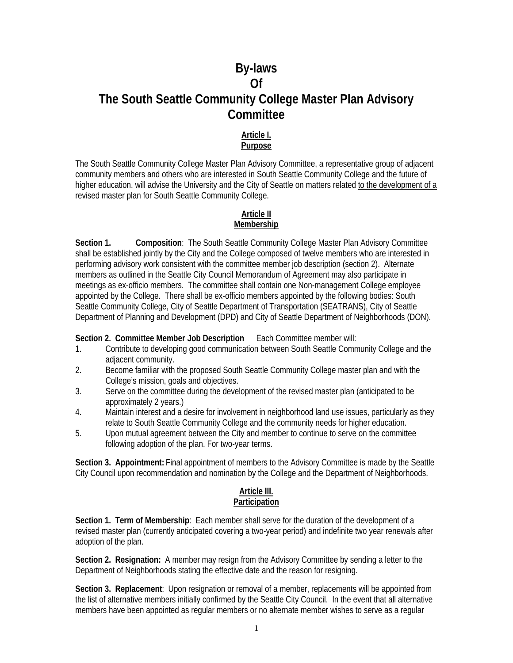# **By-laws Of The South Seattle Community College Master Plan Advisory Committee**

### **Article I. Purpose**

The South Seattle Community College Master Plan Advisory Committee, a representative group of adjacent community members and others who are interested in South Seattle Community College and the future of higher education, will advise the University and the City of Seattle on matters related to the development of a revised master plan for South Seattle Community College.

# **Article II Membership**

**Section 1. Composition**: The South Seattle Community College Master Plan Advisory Committee shall be established jointly by the City and the College composed of twelve members who are interested in performing advisory work consistent with the committee member job description (section 2). Alternate members as outlined in the Seattle City Council Memorandum of Agreement may also participate in meetings as ex-officio members. The committee shall contain one Non-management College employee appointed by the College. There shall be ex-officio members appointed by the following bodies: South Seattle Community College, City of Seattle Department of Transportation (SEATRANS), City of Seattle Department of Planning and Development (DPD) and City of Seattle Department of Neighborhoods (DON).

**Section 2. Committee Member Job Description** Each Committee member will:

- 1. Contribute to developing good communication between South Seattle Community College and the adjacent community.
- 2. Become familiar with the proposed South Seattle Community College master plan and with the College's mission, goals and objectives.
- 3. Serve on the committee during the development of the revised master plan (anticipated to be approximately 2 years.)
- 4. Maintain interest and a desire for involvement in neighborhood land use issues, particularly as they relate to South Seattle Community College and the community needs for higher education.
- 5. Upon mutual agreement between the City and member to continue to serve on the committee following adoption of the plan. For two-year terms.

**Section 3. Appointment:** Final appointment of members to the Advisory Committee is made by the Seattle City Council upon recommendation and nomination by the College and the Department of Neighborhoods.

#### **Article III. Participation**

**Section 1. Term of Membership**: Each member shall serve for the duration of the development of a revised master plan (currently anticipated covering a two-year period) and indefinite two year renewals after adoption of the plan.

**Section 2. Resignation:** A member may resign from the Advisory Committee by sending a letter to the Department of Neighborhoods stating the effective date and the reason for resigning.

**Section 3. Replacement**: Upon resignation or removal of a member, replacements will be appointed from the list of alternative members initially confirmed by the Seattle City Council. In the event that all alternative members have been appointed as regular members or no alternate member wishes to serve as a regular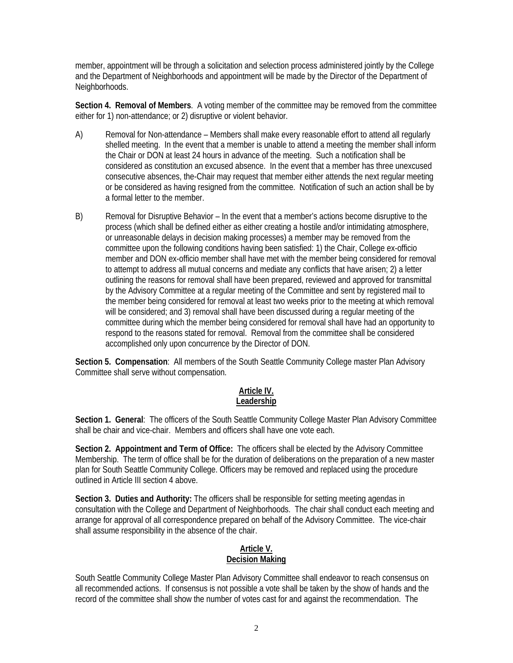member, appointment will be through a solicitation and selection process administered jointly by the College and the Department of Neighborhoods and appointment will be made by the Director of the Department of Neighborhoods.

**Section 4. Removal of Members**. A voting member of the committee may be removed from the committee either for 1) non-attendance; or 2) disruptive or violent behavior.

- A) Removal for Non-attendance Members shall make every reasonable effort to attend all regularly shelled meeting. In the event that a member is unable to attend a meeting the member shall inform the Chair or DON at least 24 hours in advance of the meeting. Such a notification shall be considered as constitution an excused absence. In the event that a member has three unexcused consecutive absences, the-Chair may request that member either attends the next regular meeting or be considered as having resigned from the committee. Notification of such an action shall be by a formal letter to the member.
- B) Removal for Disruptive Behavior In the event that a member's actions become disruptive to the process (which shall be defined either as either creating a hostile and/or intimidating atmosphere, or unreasonable delays in decision making processes) a member may be removed from the committee upon the following conditions having been satisfied: 1) the Chair, College ex-officio member and DON ex-officio member shall have met with the member being considered for removal to attempt to address all mutual concerns and mediate any conflicts that have arisen; 2) a letter outlining the reasons for removal shall have been prepared, reviewed and approved for transmittal by the Advisory Committee at a regular meeting of the Committee and sent by registered mail to the member being considered for removal at least two weeks prior to the meeting at which removal will be considered; and 3) removal shall have been discussed during a regular meeting of the committee during which the member being considered for removal shall have had an opportunity to respond to the reasons stated for removal. Removal from the committee shall be considered accomplished only upon concurrence by the Director of DON.

**Section 5. Compensation**: All members of the South Seattle Community College master Plan Advisory Committee shall serve without compensation.

### **Article IV. Leadership**

**Section 1. General**: The officers of the South Seattle Community College Master Plan Advisory Committee shall be chair and vice-chair. Members and officers shall have one vote each.

**Section 2. Appointment and Term of Office:** The officers shall be elected by the Advisory Committee Membership. The term of office shall be for the duration of deliberations on the preparation of a new master plan for South Seattle Community College. Officers may be removed and replaced using the procedure outlined in Article III section 4 above.

**Section 3. Duties and Authority:** The officers shall be responsible for setting meeting agendas in consultation with the College and Department of Neighborhoods. The chair shall conduct each meeting and arrange for approval of all correspondence prepared on behalf of the Advisory Committee. The vice-chair shall assume responsibility in the absence of the chair.

## **Article V. Decision Making**

South Seattle Community College Master Plan Advisory Committee shall endeavor to reach consensus on all recommended actions. If consensus is not possible a vote shall be taken by the show of hands and the record of the committee shall show the number of votes cast for and against the recommendation. The